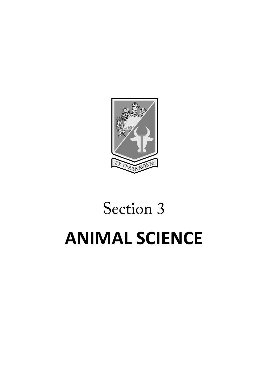

# Section 3 **ANIMAL SCIENCE**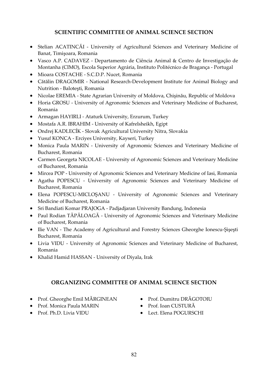#### **SCIENTIFIC COMMITTEE OF ANIMAL SCIENCE SECTION**

- Stelian ACATINCĂI University of Agricultural Sciences and Veterinary Medicine of Banat, Timişoara, Romania
- Vasco A.P. CADAVEZ Departamento de Ciência Animal & Centro de Investigação de Montanha (CIMO), Escola Superior Agrária, Instituto Politécnico de Bragança - Portugal
- Mioara COSTACHE S.C.D.P. Nucet, Romania
- Cătălin DRAGOMIR National Research-Development Institute for Animal Biology and Nutrition - Baloteşti, Romania
- Nicolae EREMIA State Agrarian University of Moldova, Chişinău, Republic of Moldova
- Horia GROSU University of Agronomic Sciences and Veterinary Medicine of Bucharest, Romania
- Armagan HAYIRLI Ataturk University, Erzurum, Turkey
- Mostafa A.R. IBRAHIM University of Kafrelsheikh, Egipt
- Ondrej KADLECÍK Slovak Agricultural University Nitra, Slovakia
- Yusuf KONCA Erciyes University, Kayseri, Turkey
- Monica Paula MARIN University of Agronomic Sciences and Veterinary Medicine of Bucharest, Romania
- Carmen Georgeta NICOLAE University of Agronomic Sciences and Veterinary Medicine of Bucharest, Romania
- Mircea POP University of Agronomic Sciences and Veterinary Medicine of Iasi, Romania
- Agatha POPESCU University of Agronomic Sciences and Veterinary Medicine of Bucharest, Romania
- Elena POPESCU-MICLOŞANU University of Agronomic Sciences and Veterinary Medicine of Bucharest, Romania
- Sri Bandiati Komar PRAJOGA Padjadjaran University Bandung, Indonesia
- Paul Rodian TĂPĂLOAGĂ University of Agronomic Sciences and Veterinary Medicine of Bucharest, Romania
- Ilie VAN The Academy of Agricultural and Forestry Sciences Gheorghe Ionescu-Şişeşti Bucharest, Romania
- Livia VIDU University of Agronomic Sciences and Veterinary Medicine of Bucharest, Romania
- Khalid Hamid HASSAN University of Diyala, Irak

#### **ORGANIZING COMMITTEE OF ANIMAL SCIENCE SECTION**

- Prof. Gheorghe Emil MĂRGINEAN
- Prof. Monica Paula MARIN
- Prof. Ph.D. Livia VIDU
- Prof. Dumitru DRĂGOTOIU
- Prof. Ioan CUSTURĂ
- Lect. Elena POGURSCHI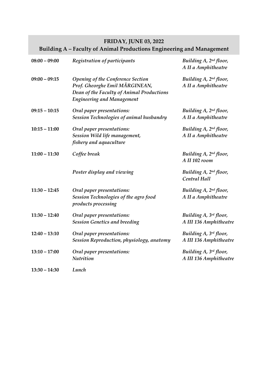## **FRIDAY, JUNE 03, 2022 Building A – Faculty of Animal Productions Engineering and Management**

| $08:00 - 09:00$ | Registration of participants                                                                                                                          | Building A, 2nd floor,<br>A II a Amphitheatre      |
|-----------------|-------------------------------------------------------------------------------------------------------------------------------------------------------|----------------------------------------------------|
| $09:00 - 09:15$ | Opening of the Conference Section<br>Prof. Gheorghe Emil MĂRGINEAN,<br>Dean of the Faculty of Animal Productions<br><b>Engineering and Management</b> | Building A, 2nd floor,<br>A II a Amphitheatre      |
| $09:15 - 10:15$ | Oral paper presentations:<br>Session Technologies of animal husbandry                                                                                 | Building A, 2nd floor,<br>A II a Amphitheatre      |
| $10:15 - 11:00$ | Oral paper presentations:<br>Session Wild life management,<br>fishery and aquaculture                                                                 | Building A, 2nd floor,<br>A II a Amphitheatre      |
| $11:00 - 11:30$ | Coffee break                                                                                                                                          | Building A, 2nd floor,<br>A II 102 room            |
|                 | Poster display and viewing                                                                                                                            | Building A, 2 <sup>nd</sup> floor,<br>Central Hall |
| $11:30 - 12:45$ | Oral paper presentations:<br>Session Technologies of the agro food<br>products processing                                                             | Building A, 2nd floor,<br>A II a Amphitheatre      |
| $11:30 - 12:40$ | Oral paper presentations:<br><b>Session Genetics and breeding</b>                                                                                     | Building A, 3rd floor,<br>A III 136 Amphitheatre   |
| $12:40 - 13:10$ | Oral paper presentations:<br>Session Reproduction, physiology, anatomy                                                                                | Building A, 3rd floor,<br>A III 136 Amphitheatre   |
| $13:10 - 17:00$ | Oral paper presentations:<br><b>Nutrition</b>                                                                                                         | Building A, 3rd floor,<br>A III 136 Amphitheatre   |
| $13:30 - 14:30$ | Lunch                                                                                                                                                 |                                                    |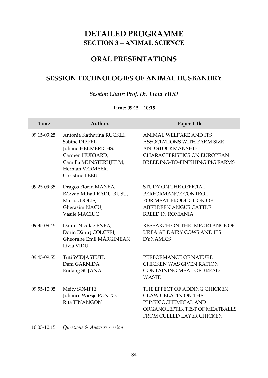# **DETAILED PROGRAMME SECTION 3 – ANIMAL SCIENCE**

## **ORAL PRESENTATIONS**

## **SESSION TECHNOLOGIES OF ANIMAL HUSBANDRY**

#### *Session Chair: Prof. Dr. Livia VIDU*

#### **Time: 09:15 – 10:15**

| <b>Time</b>     | <b>Authors</b>                                                                                                                                             | <b>Paper Title</b>                                                                                                                                               |
|-----------------|------------------------------------------------------------------------------------------------------------------------------------------------------------|------------------------------------------------------------------------------------------------------------------------------------------------------------------|
| 09:15-09:25     | Antonia Katharina RUCKLI,<br>Sabine DIPPEL,<br>Juliane HELMERICHS,<br>Carmen HUBBARD,<br>Camilla MUNSTERHJELM,<br>Herman VERMEER,<br><b>Christine LEEB</b> | ANIMAL WELFARE AND ITS<br><b>ASSOCIATIONS WITH FARM SIZE</b><br><b>AND STOCKMANSHIP</b><br><b>CHARACTERISTICS ON EUROPEAN</b><br>BREEDING-TO-FINISHING PIG FARMS |
| 09:25-09:35     | Dragoș Florin MANEA,<br>Răzvan Mihail RADU-RUSU,<br>Marius DOLIS,<br>Gherasim NACU,<br>Vasile MACIUC                                                       | STUDY ON THE OFFICIAL<br>PERFORMANCE CONTROL<br>FOR MEAT PRODUCTION OF<br><b>ABERDEEN ANGUS CATTLE</b><br><b>BREED IN ROMANIA</b>                                |
| 09:35-09:45     | Dănuț Nicolae ENEA,<br>Dorin Dănuț COLCERI,<br>Gheorghe Emil MĂRGINEAN,<br>Livia VIDU                                                                      | RESEARCH ON THE IMPORTANCE OF<br>UREA AT DAIRY COWS AND ITS<br><b>DYNAMICS</b>                                                                                   |
| 09:45-09:55     | Tuti WIDJASTUTI,<br>Dani GARNIDA,<br>Endang SUJANA                                                                                                         | PERFORMANCE OF NATURE<br><b>CHICKEN WAS GIVEN RATION</b><br><b>CONTAINING MEAL OF BREAD</b><br><b>WASTE</b>                                                      |
| 09:55-10:05     | Meity SOMPIE,<br>Juliance Wiesje PONTO,<br>Rita TINANGON                                                                                                   | THE EFFECT OF ADDING CHICKEN<br><b>CLAW GELATIN ON THE</b><br>PHYSICOCHEMICAL AND<br>ORGANOLEPTIK TEST OF MEATBALLS<br>FROM CULLED LAYER CHICKEN                 |
| $10:05 - 10:15$ | <i><b>Ouestions &amp; Answers session</b></i>                                                                                                              |                                                                                                                                                                  |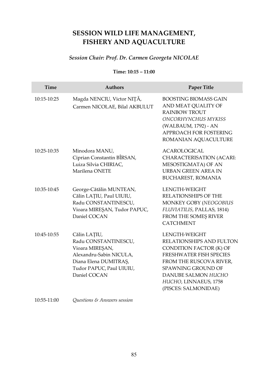# **SESSION WILD LIFE MANAGEMENT, FISHERY AND AQUACULTURE**

## *Session Chair: Prof. Dr. Carmen Georgeta NICOLAE*

#### **Time: 10:15 – 11:00**

| Time          | <b>Authors</b>                                                                                                                                          | Paper Title                                                                                                                                                                                                                            |
|---------------|---------------------------------------------------------------------------------------------------------------------------------------------------------|----------------------------------------------------------------------------------------------------------------------------------------------------------------------------------------------------------------------------------------|
| $10:15-10:25$ | Magda NENCIU, Victor NIȚĂ,<br>Carmen NICOLAE, Bilal AKBULUT                                                                                             | <b>BOOSTING BIOMASS GAIN</b><br>AND MEAT QUALITY OF<br><b>RAINBOW TROUT</b><br>ONCORHYNCHUS MYKISS<br>(WALBAUM, 1792) - AN<br>APPROACH FOR FOSTERING<br>ROMANIAN AQUACULTURE                                                           |
| 10:25-10:35   | Minodora MANU,<br>Ciprian Constantin BÎRSAN,<br>Luiza Silvia CHIRIAC,<br>Marilena ONETE                                                                 | <b>ACAROLOGICAL</b><br>CHARACTERISATION (ACARI:<br>MESOSTIGMATA) OF AN<br>URBAN GREEN AREA IN<br><b>BUCHAREST, ROMANIA</b>                                                                                                             |
| 10:35-10:45   | George-Cătălin MUNTEAN,<br>Călin LAȚIU, Paul UIUIU,<br>Radu CONSTANTINESCU,<br>Vioara MIREȘAN, Tudor PAPUC,<br>Daniel COCAN                             | LENGTH-WEIGHT<br><b>RELATIONSHIPS OF THE</b><br>MONKEY GOBY (NEOGOBIUS<br>FLUVIATILIS, PALLAS, 1814)<br>FROM THE SOMES RIVER<br><b>CATCHMENT</b>                                                                                       |
| 10:45-10:55   | Călin LAȚIU,<br>Radu CONSTANTINESCU,<br>Vioara MIREȘAN,<br>Alexandru-Sabin NICULA,<br>Diana Elena DUMITRAȘ,<br>Tudor PAPUC, Paul UIUIU,<br>Daniel COCAN | LENGTH-WEIGHT<br><b>RELATIONSHIPS AND FULTON</b><br>CONDITION FACTOR (K) OF<br>FRESHWATER FISH SPECIES<br>FROM THE RUSCOVA RIVER,<br><b>SPAWNING GROUND OF</b><br>DANUBE SALMON HUCHO<br>HUCHO, LINNAEUS, 1758<br>(PISCES: SALMONIDAE) |
| 10:55-11:00   | <i><b>Ouestions &amp; Answers session</b></i>                                                                                                           |                                                                                                                                                                                                                                        |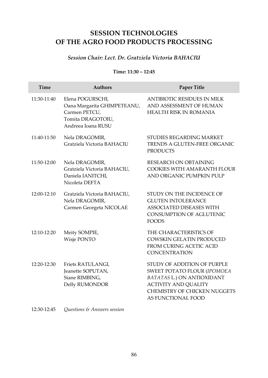# **SESSION TECHNOLOGIES OF THE AGRO FOOD PRODUCTS PROCESSING**

#### *Session Chair: Lect. Dr. Gratziela Victoria BAHACIU*

#### **Time: 11:30 – 12:45**

| Time          | <b>Authors</b>                                                                                              | Paper Title                                                                                                                                                                                 |
|---------------|-------------------------------------------------------------------------------------------------------------|---------------------------------------------------------------------------------------------------------------------------------------------------------------------------------------------|
| 11:30-11:40   | Elena POGURSCHI,<br>Oana Margarita GHIMPETEANU,<br>Carmen PETCU,<br>Tomita DRAGOTOIU,<br>Andreea Ioana RUSU | <b>ANTIBIOTIC RESIDUES IN MILK</b><br>AND ASSESSMENT OF HUMAN<br><b>HEALTH RISK IN ROMANIA</b>                                                                                              |
| $11:40-11:50$ | Nela DRAGOMIR,<br>Gratziela Victoria BAHACIU                                                                | STUDIES REGARDING MARKET<br><b>TRENDS A GLUTEN-FREE ORGANIC</b><br><b>PRODUCTS</b>                                                                                                          |
| 11:50-12:00   | Nela DRAGOMIR,<br>Gratziela Victoria BAHACIU,<br>Daniela IANITCHI,<br>Nicoleta DEFTA                        | RESEARCH ON OBTAINING<br>COOKIES WITH AMARANTH FLOUR<br>AND ORGANIC PUMPKIN PULP                                                                                                            |
| 12:00-12:10   | Gratziela Victoria BAHACIU,<br>Nela DRAGOMIR,<br>Carmen Georgeta NICOLAE                                    | STUDY ON THE INCIDENCE OF<br><b>GLUTEN INTOLERANCE</b><br><b>ASSOCIATED DISEASES WITH</b><br><b>CONSUMPTION OF AGLUTENIC</b><br><b>FOODS</b>                                                |
| 12:10-12:20   | Meity SOMPIE,<br>Wisje PONTO                                                                                | THE CHARACTERISTICS OF<br>COWSKIN GELATIN PRODUCED<br><b>FROM CURING ACETIC ACID</b><br><b>CONCENTRATION</b>                                                                                |
| 12:20-12:30   | Friets RATULANGI,<br>Jeanette SOPUTAN,<br>Siane RIMBING,<br>Delly RUMONDOR                                  | STUDY OF ADDITION OF PURPLE<br>SWEET POTATO FLOUR (IPOMOEA<br><b>BATATAS L.) ON ANTIOXIDANT</b><br><b>ACTIVITY AND QUALITY</b><br><b>CHEMISTRY OF CHICKEN NUGGETS</b><br>AS FUNCTIONAL FOOD |

12:30-12:45 *Questions & Answers session*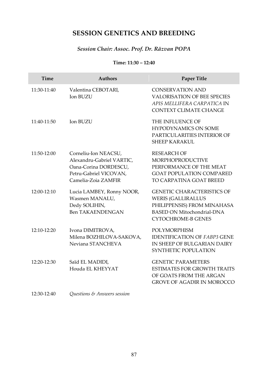## **SESSION GENETICS AND BREEDING**

## *Session Chair: Assoc. Prof. Dr. Răzvan POPA*

#### **Time: 11:30 – 12:40**

| <b>Time</b> | <b>Authors</b>                                                                                                              | Paper Title                                                                                                                                                     |
|-------------|-----------------------------------------------------------------------------------------------------------------------------|-----------------------------------------------------------------------------------------------------------------------------------------------------------------|
| 11:30-11:40 | Valentina CEBOTARI,<br>Ion BUZU                                                                                             | <b>CONSERVATION AND</b><br><b>VALORISATION OF BEE SPECIES</b><br>APIS MELLIFERA CARPATICA IN<br><b>CONTEXT CLIMATE CHANGE</b>                                   |
| 11:40-11:50 | <b>Ion BUZU</b>                                                                                                             | THE INFLUENCE OF<br><b>HYPODYNAMICS ON SOME</b><br>PARTICULARITIES INTERIOR OF<br><b>SHEEP KARAKUL</b>                                                          |
| 11:50-12:00 | Corneliu-Ion NEACSU,<br>Alexandru-Gabriel VARTIC,<br>Oana-Corina DORDESCU,<br>Petru-Gabriel VICOVAN,<br>Camelia-Zoia ZAMFIR | <b>RESEARCH OF</b><br><b>MORPHOPRODUCTIVE</b><br>PERFORMANCE OF THE MEAT<br><b>GOAT POPULATION COMPARED</b><br>TO CARPATINA GOAT BREED                          |
| 12:00-12:10 | Lucia LAMBEY, Ronny NOOR,<br>Wasmen MANALU,<br>Dedy SOLIHIN,<br><b>Ben TAKAENDENGAN</b>                                     | <b>GENETIC CHARACTERISTICS OF</b><br><b>WERIS (GALLIRALLUS</b><br>PHILIPPENSIS) FROM MINAHASA<br><b>BASED ON Mitochondrial-DNA</b><br><b>CYTOCHROME-B GENES</b> |
| 12:10-12:20 | Ivona DIMITROVA,<br>Milena BOZHILOVA-SAKOVA.<br>Neviana STANCHEVA                                                           | <b>POLYMORPHISM</b><br><b>IDENTIFICATION OF FABP3 GENE</b><br>IN SHEEP OF BULGARIAN DAIRY<br>SYNTHETIC POPULATION                                               |
| 12:20-12:30 | Saïd EL MADIDI,<br>Houda EL KHEYYAT                                                                                         | <b>GENETIC PARAMETERS</b><br><b>ESTIMATES FOR GROWTH TRAITS</b><br>OF GOATS FROM THE ARGAN<br><b>GROVE OF AGADIR IN MOROCCO</b>                                 |
| 12:30-12:40 | <i><b>Ouestions &amp; Answers session</b></i>                                                                               |                                                                                                                                                                 |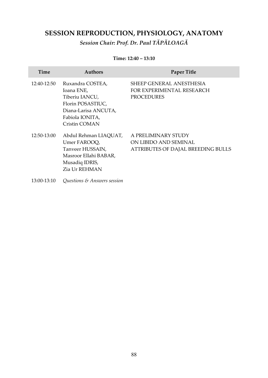# **SESSION REPRODUCTION, PHYSIOLOGY, ANATOMY**

*Session Chair: Prof. Dr. Paul TĂPĂLOAGĂ*

#### **Time: 12:40 – 13:10**

| Time        | <b>Authors</b>                                                                                                                    | <b>Paper Title</b>                                                                 |
|-------------|-----------------------------------------------------------------------------------------------------------------------------------|------------------------------------------------------------------------------------|
| 12:40-12:50 | Ruxandra COSTEA,<br>Ioana ENE,<br>Tiberiu IANCU,<br>Florin POSASTIUC,<br>Diana-Larisa ANCUTA,<br>Fabiola IONITA,<br>Cristin COMAN | <b>SHEEP GENERAL ANESTHESIA</b><br>FOR EXPERIMENTAL RESEARCH<br><b>PROCEDURES</b>  |
| 12:50-13:00 | Abdul Rehman LIAOUAT,<br>Umer FAROOO,<br>Tanveer HUSSAIN,<br>Masroor Ellahi BABAR,<br>Musadiq IDRIS,<br>Zia Ur REHMAN             | A PRELIMINARY STUDY<br>ON LIBIDO AND SEMINAL<br>ATTRIBUTES OF DAJAL BREEDING BULLS |
| 13:00-13:10 | <i><b>Ouestions &amp; Answers session</b></i>                                                                                     |                                                                                    |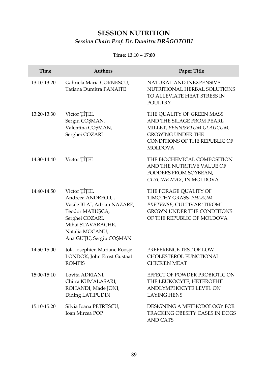# **SESSION NUTRITION** *Session Chair: Prof. Dr. Dumitru DRĂGOTOIU*

#### **Time: 13:10 – 17:00**

| Time        | <b>Authors</b>                                                                                                                                                             | <b>Paper Title</b>                                                                                                                                                   |
|-------------|----------------------------------------------------------------------------------------------------------------------------------------------------------------------------|----------------------------------------------------------------------------------------------------------------------------------------------------------------------|
| 13:10-13:20 | Gabriela Maria CORNESCU,<br>Tatiana Dumitra PANAITE                                                                                                                        | NATURAL AND INEXPENSIVE<br>NUTRITIONAL HERBAL SOLUTIONS<br>TO ALLEVIATE HEAT STRESS IN<br><b>POULTRY</b>                                                             |
| 13:20-13:30 | Victor TÎTEI,<br>Sergiu COŞMAN,<br>Valentina COȘMAN,<br>Serghei COZARI                                                                                                     | THE QUALITY OF GREEN MASS<br>AND THE SILAGE FROM PEARL<br>MILLET, PENNISETUM GLAUCUM,<br><b>GROWING UNDER THE</b><br>CONDITIONS OF THE REPUBLIC OF<br><b>MOLDOVA</b> |
| 14:30-14:40 | Victor TÎȚEI                                                                                                                                                               | THE BIOCHEMICAL COMPOSITION<br>AND THE NUTRITIVE VALUE OF<br>FODDERS FROM SOYBEAN,<br><b>GLYCINE MAX, IN MOLDOVA</b>                                                 |
| 14:40-14:50 | Victor ȚÎȚEI,<br>Andreea ANDREOIU,<br>Vasile BLAJ, Adrian NAZARE,<br>Teodor MARUȘCA,<br>Serghei COZARI,<br>Mihai STAVARACHE,<br>Natalia MOCANU,<br>Ana GUȚU, Sergiu COȘMAN | THE FORAGE QUALITY OF<br>TIMOTHY GRASS, PHLEUM<br>PRETENSE, CULTIVAR 'TIROM'<br><b>GROWN UNDER THE CONDITIONS</b><br>OF THE REPUBLIC OF MOLDOVA                      |
| 14:50-15:00 | Jola Josephien Mariane Roosje<br>LONDOK, John Ernst Gustaaf<br><b>ROMPIS</b>                                                                                               | PREFERENCE TEST OF LOW<br>CHOLESTEROL FUNCTIONAL<br><b>CHICKEN MEAT</b>                                                                                              |
| 15:00-15:10 | Lovita ADRIANI,<br>Chitra KUMALASARI,<br>ROHANDI, Made JONI,<br>Diding LATIPUDIN                                                                                           | EFFECT OF POWDER PROBIOTIC ON<br>THE LEUKOCYTE, HETEROPHIL<br>ANDLYMPHOCYTE LEVEL ON<br><b>LAYING HENS</b>                                                           |
| 15:10-15:20 | Silvia Ioana PETRESCU,<br><b>Ioan Mircea POP</b>                                                                                                                           | DESIGNING A METHODOLOGY FOR<br>TRACKING OBESITY CASES IN DOGS<br>AND CATS                                                                                            |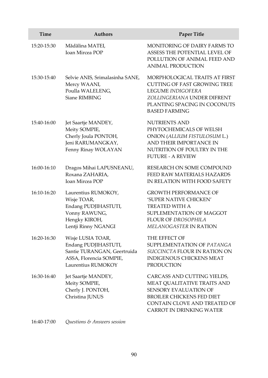| Time        | <b>Authors</b>                                                                                                            | <b>Paper Title</b>                                                                                                                                                                         |
|-------------|---------------------------------------------------------------------------------------------------------------------------|--------------------------------------------------------------------------------------------------------------------------------------------------------------------------------------------|
| 15:20-15:30 | Mădălina MATEI,<br><b>Ioan Mircea POP</b>                                                                                 | <b>MONITORING OF DAIRY FARMS TO</b><br>ASSESS THE POTENTIAL LEVEL OF<br>POLLUTION OF ANIMAL FEED AND<br><b>ANIMAL PRODUCTION</b>                                                           |
| 15:30-15:40 | Selvie ANIS, Srimalasinha SANE,<br>Mercy WAANI,<br>Poulla WALELENG,<br>Siane RIMBING                                      | MORPHOLOGICAL TRAITS AT FIRST<br><b>CUTTING OF FAST GROWING TREE</b><br>LEGUME INDIGOFERA<br>ZOLLINGERIANA UNDER DIFRENT<br>PLANTING SPACING IN COCONUTS<br><b>BASED FARMING</b>           |
| 15:40-16:00 | Jet Saartje MANDEY,<br>Meity SOMPIE,<br>Cherly Joula PONTOH,<br>Jeni RARUMANGKAY,<br>Fenny Rinay WOLAYAN                  | <b>NUTRIENTS AND</b><br>PHYTOCHEMICALS OF WELSH<br>ONION (ALLIUM FISTULOSUM L.)<br>AND THEIR IMPORTANCE IN<br>NUTRITION OF POULTRY IN THE<br><b>FUTURE - A REVIEW</b>                      |
| 16:00-16:10 | Dragos Mihai LAPUSNEANU,<br>Roxana ZAHARIA,<br><b>Ioan Mircea POP</b>                                                     | RESEARCH ON SOME COMPOUND<br>FEED RAW MATERIALS HAZARDS<br>IN RELATION WITH FOOD SAFETY                                                                                                    |
| 16:10-16:20 | Laurentius RUMOKOY,<br>Wisje TOAR,<br>Endang PUDJIHASTUTI,<br>Vonny RAWUNG,<br>Hengky KIROH,<br>Lentji Rinny NGANGI       | <b>GROWTH PERFORMANCE OF</b><br>'SUPER NATIVE CHICKEN'<br>TREATED WITH A<br>SUPLEMENTATION OF MAGGOT<br>FLOUR OF DROSOPHILA<br><b>MELANOGASTER IN RATION</b>                               |
| 16:20-16:30 | Wisje LUSIA TOAR,<br>Endang PUDJIHASTUTI,<br>Santie TURANGAN, Geertruida<br>ASSA, Florencia SOMPIE,<br>Laurentius RUMOKOY | THE EFFECT OF<br>SUPPLEMENTATION OF PATANGA<br>SUCCINCTA FLOUR IN RATION ON<br><b>INDIGENOUS CHICKENS MEAT</b><br><b>PRODUCTION</b>                                                        |
| 16:30-16:40 | Jet Saartje MANDEY,<br>Meity SOMPIE,<br>Cherly J. PONTOH,<br>Christina JUNUS                                              | CARCASS AND CUTTING YIELDS,<br>MEAT QUALITATIVE TRAITS AND<br>SENSORY EVALUATION OF<br><b>BROILER CHICKENS FED DIET</b><br>CONTAIN CLOVE AND TREATED OF<br><b>CARROT IN DRINKING WATER</b> |

16:40-17:00 *Questions & Answers session*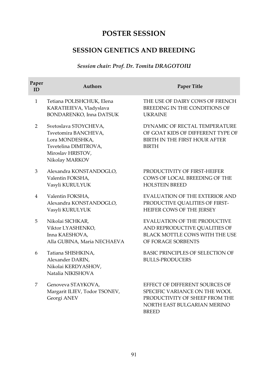# **POSTER SESSION**

## **SESSION GENETICS AND BREEDING**

## *Session chair: Prof. Dr. Tomita DRAGOTOIU*

| Paper<br>ID    | <b>Authors</b>                                                                                                                   | Paper Title                                                                                                                                      |
|----------------|----------------------------------------------------------------------------------------------------------------------------------|--------------------------------------------------------------------------------------------------------------------------------------------------|
| $\mathbf{1}$   | Tetiana POLISHCHUK, Elena<br>KARATIEIEVA, Vladyslava<br>BONDARENKO, Inna DATSUK                                                  | THE USE OF DAIRY COWS OF FRENCH<br>BREEDING IN THE CONDITIONS OF<br><b>UKRAINE</b>                                                               |
| $\overline{2}$ | Svetoslava STOYCHEVA,<br>Tsvetomira BANCHEVA,<br>Lora MONDESHKA,<br>Tsvetelina DIMITROVA,<br>Miroslav HRISTOV,<br>Nikolay MARKOV | DYNAMIC OF RECTAL TEMPERATURE<br>OF GOAT KIDS OF DIFFERENT TYPE OF<br>BIRTH IN THE FIRST HOUR AFTER<br><b>BIRTH</b>                              |
| 3              | Alexandra KONSTANDOGLO,<br>Valentin FOKSHA,<br>Vasyli KURULYUK                                                                   | PRODUCTIVITY OF FIRST-HEIFER<br>COWS OF LOCAL BREEDING OF THE<br><b>HOLSTEIN BREED</b>                                                           |
| $\overline{4}$ | Valentin FOKSHA,<br>Alexandra KONSTANDOGLO,<br>Vasyli KURULYUK                                                                   | <b>EVALUATION OF THE EXTERIOR AND</b><br>PRODUCTIVE QUALITIES OF FIRST-<br>HEIFER COWS OF THE JERSEY                                             |
| 5              | Nikolai SICHKAR,<br>Viktor LYASHENKO,<br>Inna KAESHOVA,<br>Alla GUBINA, Maria NECHAEVA                                           | <b>EVALUATION OF THE PRODUCTIVE</b><br>AND REPRODUCTIVE QUALITIES OF<br>BLACK MOTTLE COWS WITH THE USE<br>OF FORAGE SORBENTS                     |
| 6              | Tatiana SHISHKINA,<br>Alexander DARIN,<br>Nikolai KERDYASHOV,<br>Natalia NIKISHOVA                                               | BASIC PRINCIPLES OF SELECTION OF<br><b>BULLS-PRODUCERS</b>                                                                                       |
| 7              | Genoveva STAYKOVA,<br>Margarit ILIEV, Todor TSONEV,<br>Georgi ANEV                                                               | EFFECT OF DIFFERENT SOURCES OF<br>SPECIFIC VARIANCE ON THE WOOL<br>PRODUCTIVITY OF SHEEP FROM THE<br>NORTH EAST BULGARIAN MERINO<br><b>BREED</b> |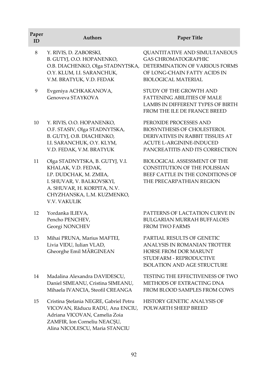| Paper<br>ID | <b>Authors</b>                                                                                                                                                                                     | Paper Title                                                                                                                                                                                  |
|-------------|----------------------------------------------------------------------------------------------------------------------------------------------------------------------------------------------------|----------------------------------------------------------------------------------------------------------------------------------------------------------------------------------------------|
| $\,8\,$     | Y. RIVIS, D. ZABORSKI,<br>B. GUTYJ, O.O. HOPANENKO,<br>O.Y. KLUM, I.I. SARANCHUK,<br>V.M. BRATYUK, V.D. FEDAK                                                                                      | QUANTITATIVE AND SIMULTANEOUS<br><b>GAS CHROMATOGRAPHIC</b><br>O.B. DIACHENKO, Olga STADNYTSKA, DETERMINATION OF VARIOUS FORMS<br>OF LONG-CHAIN FATTY ACIDS IN<br><b>BIOLOGICAL MATERIAL</b> |
| 9           | Evgeniya ACHKAKANOVA,<br>Genoveva STAYKOVA                                                                                                                                                         | STUDY OF THE GROWTH AND<br><b>FATTENING ABILITIES OF MALE</b><br><b>LAMBS IN DIFFERENT TYPES OF BIRTH</b><br>FROM THE ILE DE FRANCE BREED                                                    |
| 10          | Y. RIVIS, O.O. HOPANENKO,<br>O.F. STASIV, Olga STADNYTSKA,<br>B. GUTYJ, O.B. DIACHENKO,<br>I.I. SARANCHUK, O.Y. KLYM,<br>V.D. FEDAK, V.M. BRATYUK                                                  | PEROXIDE PROCESSES AND<br>BIOSYNTHESIS OF CHOLESTEROL<br>DERIVATIVES IN RABBIT TISSUES AT<br><b>ACUTE L-ARGININE-INDUCED</b><br>PANCREATITIS AND ITS CORRECTION                              |
| 11          | Olga STADNYTSKA, B. GUTYJ, V.I.<br>KHALAK, V.D. FEDAK,<br>I.P. DUDCHAK, M. ZMIIA,<br>I. SHUVAR, V. BALKOVSKYI,<br>A. SHUVAR, H. KORPITA, N.V.<br>CHYZHANSKA, L.M. KUZMENKO,<br><b>V.V. VAKULIK</b> | BIOLOGICAL ASSESSMENT OF THE<br>CONSTITUTION OF THE POLISSIAN<br>BEEF CATTLE IN THE CONDITIONS OF<br>THE PRECARPATHIAN REGION                                                                |
| 12          | Yordanka ILIEVA,<br>Pencho PENCHEV,<br>Georgi NONCHEV                                                                                                                                              | PATTERNS OF LACTATION CURVE IN<br><b>BULGARIAN MURRAH BUFFALOES</b><br>FROM TWO FARMS                                                                                                        |
| 13          | Mihai PRUNA, Marius MAFTEI,<br>Livia VIDU, Iulian VLAD,<br>Gheorghe Emil MĂRGINEAN                                                                                                                 | PARTIAL RESULTS OF GENETIC<br>ANALYSIS IN ROMANIAN TROTTER<br>HORSE FROM DOR MARUNT<br>STUDFARM - REPRODUCTIVE<br><b>ISOLATION AND AGE STRUCTURE</b>                                         |
| 14          | Madalina Alexandra DAVIDESCU,<br>Daniel SIMEANU, Cristina SIMEANU,<br>Mihaela IVANCIA, Steofil CREANGA                                                                                             | TESTING THE EFFECTIVENESS OF TWO<br>METHODS OF EXTRACTING DNA<br>FROM BLOOD SAMPLES FROM COWS                                                                                                |
| 15          | Cristina Ștefania NEGRE, Gabriel Petru<br>VICOVAN, Răducu RADU, Ana ENCIU,<br>Adriana VICOVAN, Camelia Zoia<br>ZAMFIR, Ion Corneliu NEACȘU,                                                        | HISTORY GENETIC ANALYSIS OF<br>POLWARTH SHEEP BREED                                                                                                                                          |

Alina NICOLESCU, Maria STANCIU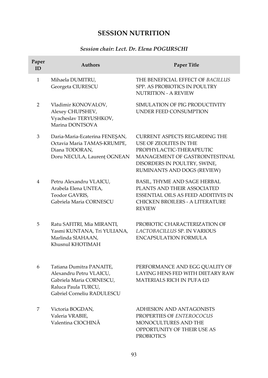# **SESSION NUTRITION**

## *Session chair: Lect. Dr. Elena POGURSCHI*

| Paper<br>ID  | <b>Authors</b>                                                                                                                       | Paper Title                                                                                                                                                                          |
|--------------|--------------------------------------------------------------------------------------------------------------------------------------|--------------------------------------------------------------------------------------------------------------------------------------------------------------------------------------|
| $\mathbf{1}$ | Mihaela DUMITRU,<br>Georgeta CIURESCU                                                                                                | THE BENEFICIAL EFFECT OF BACILLUS<br>SPP. AS PROBIOTICS IN POULTRY<br><b>NUTRITION - A REVIEW</b>                                                                                    |
| 2            | Vladimir KONOVALOV,<br>Alexey CHUPSHEV,<br>Vyacheslav TERYUSHKOV,<br>Marina DONTSOVA                                                 | SIMULATION OF PIG PRODUCTIVITY<br>UNDER FEED CONSUMPTION                                                                                                                             |
| 3            | Daria-Maria-Ecaterina FENEŞAN,<br>Octavia Maria TAMAS-KRUMPE,<br>Diana TODORAN.<br>Doru NECULA, Laurenț OGNEAN                       | CURRENT ASPECTS REGARDING THE<br>USE OF ZEOLITES IN THE<br>PROPHYLACTIC-THERAPEUTIC<br>MANAGEMENT OF GASTROINTESTINAL<br>DISORDERS IN POULTRY, SWINE,<br>RUMINANTS AND DOGS (REVIEW) |
| 4            | Petru Alexandru VLAICU,<br>Arabela Elena UNTEA,<br>Teodor GAVRIS,<br>Gabriela Maria CORNESCU                                         | BASIL, THYME AND SAGE HERBAL<br>PLANTS AND THEIR ASSOCIATED<br><b>ESSENTIAL OILS AS FEED ADDITIVES IN</b><br><b>CHICKEN BROILERS - A LITERATURE</b><br><b>REVIEW</b>                 |
| 5            | Ratu SAFITRI, Mia MIRANTI,<br>Yasmi KUNTANA, Tri YULIANA,<br>Marlinda SIAHAAN,<br>Khusnul KHOTIMAH                                   | PROBIOTIC CHARACTERIZATION OF<br>LACTOBACILLUS SP. IN VARIOUS<br><b>ENCAPSULATION FORMULA</b>                                                                                        |
| 6            | Tatiana Dumitra PANAITE,<br>Alexandru Petru VLAICU,<br>Gabriela Maria CORNESCU,<br>Raluca Paula TURCU,<br>Gabriel Corneliu RADULESCU | PERFORMANCE AND EGG QUALITY OF<br>LAYING HENS FED WITH DIETARY RAW<br>MATERIALS RICH IN PUFA Ω3                                                                                      |
| 7            | Victoria BOGDAN,<br>Valeria VRABIE,<br>Valentina CIOCHINĂ                                                                            | ADHESION AND ANTAGONISTS<br>PROPERTIES OF ENTEROCOCUS<br><b>MONOCULTURES AND THE</b><br>OPPORTUNITY OF THEIR USE AS<br><b>PROBIOTICS</b>                                             |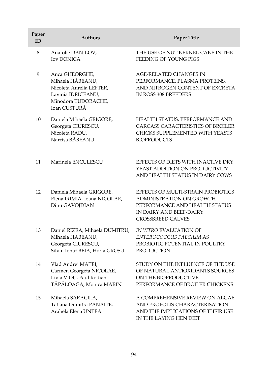| Paper<br>ID | <b>Authors</b>                                                                                                              | <b>Paper Title</b>                                                                                                                                     |
|-------------|-----------------------------------------------------------------------------------------------------------------------------|--------------------------------------------------------------------------------------------------------------------------------------------------------|
| 8           | Anatolie DANILOV,<br><b>Iov DONICA</b>                                                                                      | THE USE OF NUT KERNEL CAKE IN THE<br>FEEDING OF YOUNG PIGS                                                                                             |
| 9           | Anca GHEORGHE,<br>Mihaela HĂBEANU,<br>Nicoleta Aurelia LEFTER,<br>Lavinia IDRICEANU,<br>Minodora TUDORACHE,<br>Ioan CUSTURĂ | <b>AGE-RELATED CHANGES IN</b><br>PERFORMANCE, PLASMA PROTEINS,<br>AND NITROGEN CONTENT OF EXCRETA<br>IN ROSS 308 BREEDERS                              |
| 10          | Daniela Mihaela GRIGORE,<br>Georgeta CIURESCU,<br>Nicoleta RADU,<br>Narcisa BĂBEANU                                         | HEALTH STATUS, PERFORMANCE AND<br>CARCASS CARACTERISTICS OF BROILER<br>CHICKS SUPPLEMENTED WITH YEASTS<br><b>BIOPRODUCTS</b>                           |
| 11          | Marinela ENCULESCU                                                                                                          | EFFECTS OF DIETS WITH INACTIVE DRY<br>YEAST ADDITION ON PRODUCTIVITY<br>AND HEALTH STATUS IN DAIRY COWS                                                |
| 12          | Daniela Mihaela GRIGORE,<br>Elena IRIMIA, Ioana NICOLAE,<br>Dinu GAVOJDIAN                                                  | EFFECTS OF MULTI-STRAIN PROBIOTICS<br>ADMINISTRATION ON GROWTH<br>PERFORMANCE AND HEALTH STATUS<br>IN DAIRY AND BEEF-DAIRY<br><b>CROSSBREED CALVES</b> |
| 13          | Daniel RIZEA, Mihaela DUMITRU,<br>Mihaela HABEANU,<br>Georgeta CIURESCU,<br>Silviu Ionut BEIA, Horia GROSU                  | IN VITRO EVALUATION OF<br>ENTEROCOCCUS FAECIUM AS<br>PROBIOTIC POTENTIAL IN POULTRY<br><b>PRODUCTION</b>                                               |
| 14          | Vlad Andrei MATEI,<br>Carmen Georgeta NICOLAE,<br>Livia VIDU, Paul Rodian<br>TĂPĂLOAGĂ, Monica MARIN                        | STUDY ON THE INFLUENCE OF THE USE<br>OF NATURAL ANTIOXIDANTS SOURCES<br>ON THE BIOPRODUCTIVE<br>PERFORMANCE OF BROILER CHICKENS                        |
| 15          | Mihaela SARACILA,<br>Tatiana Dumitra PANAITE,<br>Arabela Elena UNTEA                                                        | A COMPREHENSIVE REVIEW ON ALGAE<br>AND PROPOLIS-CHARACTERISATION<br>AND THE IMPLICATIONS OF THEIR USE<br>IN THE LAYING HEN DIET                        |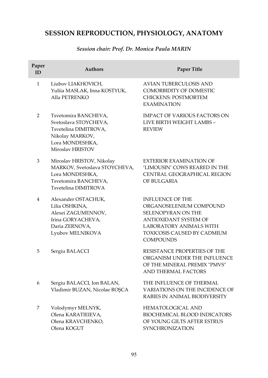# **SESSION REPRODUCTION, PHYSIOLOGY, ANATOMY**

## *Session chair: Prof. Dr. Monica Paula MARIN*

| Paper<br>ID | <b>Authors</b>                                                                                                                   | <b>Paper Title</b>                                                                                                                                                                            |
|-------------|----------------------------------------------------------------------------------------------------------------------------------|-----------------------------------------------------------------------------------------------------------------------------------------------------------------------------------------------|
| 1           | Liubov LIAKHOVICH,<br>Yuliia MASLAK, Inna KOSTYUK,<br>Alla PETRENKO                                                              | <b>AVIAN TUBERCULOSIS AND</b><br><b>COMORBIDITY OF DOMESTIC</b><br><b>CHICKENS: POSTMORTEM</b><br><b>EXAMINATION</b>                                                                          |
| 2           | Tsvetomira BANCHEVA,<br>Svetoslava STOYCHEVA,<br>Tsvetelina DIMITROVA,<br>Nikolay MARKOV,<br>Lora MONDESHKA,<br>Miroslav HRISTOV | <b>IMPACT OF VARIOUS FACTORS ON</b><br>LIVE BIRTH WEIGHT LAMBS -<br><b>REVIEW</b>                                                                                                             |
| 3           | Miroslav HRISTOV, Nikolay<br>MARKOV, Svetoslava STOYCHEVA,<br>Lora MONDESHKA,<br>Tsvetomira BANCHEVA,<br>Tsvetelina DIMITROVA    | EXTERIOR EXAMINATION OF<br>'LIMOUSIN' COWS REARED IN THE<br>CENTRAL GEOGRAPHICAL REGION<br>OF BULGARIA                                                                                        |
| 4           | Alexander OSTACHUK,<br>Lilia OSHKINA,<br>Alexei ZAGUMENNOV,<br>Irina GORYACHEVA,<br>Daria ZERNOVA,<br>Lyubov MELNIKOVA           | <b>INFLUENCE OF THE</b><br>ORGANOSELENIUM COMPOUND<br><b>SELENOPYRAN ON THE</b><br><b>ANTIOXIDANT SYSTEM OF</b><br>LABORATORY ANIMALS WITH<br>TOXICOSIS CAUSED BY CADMIUM<br><b>COMPOUNDS</b> |
| 5           | Sergiu BALACCI                                                                                                                   | RESISTANCE PROPERTIES OF THE<br>ORGANISM UNDER THE INFLUENCE<br>OF THE MINERAL PREMIX "PMVS"<br><b>AND THERMAL FACTORS</b>                                                                    |
| 6           | Sergiu BALACCI, Ion BALAN,<br>Vladimir BUZAN, Nicolae ROŞCA                                                                      | THE INFLUENCE OF THERMAL<br>VARIATIONS ON THE INCIDENCE OF<br>RABIES IN ANIMAL BIODIVERSITY                                                                                                   |
| 7           | Volodymyr MELNYK,<br>Olena KARATIEIEVA,<br>Olena KRAVCHENKO,<br>Olena KOGUT                                                      | <b>HEMATOLOGICAL AND</b><br><b>BIOCHEMICAL BLOOD INDICATORS</b><br>OF YOUNG GILTS AFTER ESTRUS<br><b>SYNCHRONIZATION</b>                                                                      |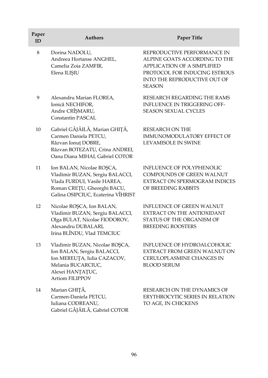| Paper<br>ID | <b>Authors</b>                                                                                                                                                   | <b>Paper Title</b>                                                                                                                                                                   |
|-------------|------------------------------------------------------------------------------------------------------------------------------------------------------------------|--------------------------------------------------------------------------------------------------------------------------------------------------------------------------------------|
| 8           | Dorina NADOLU,<br>Andreea Hortanse ANGHEL,<br>Camelia Zoia ZAMFIR,<br>Elena ILIŞIU                                                                               | REPRODUCTIVE PERFORMANCE IN<br>ALPINE GOATS ACCORDING TO THE<br><b>APPLICATION OF A SIMPLIFIED</b><br>PROTOCOL FOR INDUCING ESTROUS<br>INTO THE REPRODUCTIVE OUT OF<br><b>SEASON</b> |
| 9           | Alexandru Marian FLOREA,<br>Ionică NECHIFOR,<br>Andre CRÎȘMARU,<br><b>Constantin PASCAL</b>                                                                      | RESEARCH REGARDING THE RAMS<br><b>INFLUENCE IN TRIGGERING OFF-</b><br><b>SEASON SEXUAL CYCLES</b>                                                                                    |
| 10          | Gabriel GÂJÂILĂ, Marian GHIȚĂ,<br>Carmen Daniela PETCU,<br>Răzvan Ionuț DOBRE,<br>Răzvan BOTEZATU, Crina ANDREI,<br>Oana Diana MIHAI, Gabriel COTOR              | <b>RESEARCH ON THE</b><br>IMMUNOMODULATORY EFFECT OF<br><b>LEVAMISOLE IN SWINE</b>                                                                                                   |
| 11          | Ion BALAN, Nicolae ROŞCA,<br>Vladimir BUZAN, Sergiu BALACCI,<br>Vlada FURDUI, Vasile HAREA,<br>Roman CREȚU, Gheorghi BACU,<br>Galina OSIPCIUC, Ecaterina VÎHRIST | <b>INFLUENCE OF POLYPHENOLIC</b><br><b>COMPOUNDS OF GREEN WALNUT</b><br>EXTRACT ON SPERMOGRAM INDICES<br>OF BREEDING RABBITS                                                         |
| 12          | Nicolae ROȘCA, Ion BALAN,<br>Vladimir BUZAN, Sergiu BALACCI,<br>Olga BULAT, Nicolae FIODOROV,<br>Alexandru DUBALARI,<br>Irina BLÎNDU, Vlad TEMCIUC               | <b>INFLUENCE OF GREEN WALNUT</b><br>EXTRACT ON THE ANTIOXIDANT<br>STATUS OF THE ORGANISM OF<br><b>BREEDING ROOSTERS</b>                                                              |
| 13          | Vladimir BUZAN, Nicolae ROȘCA,<br>Ion BALAN, Sergiu BALACCI,<br>Ion MEREUȚA, Iulia CAZACOV,<br>Melania BUCARCIUC,<br>Alexei HANȚAȚUC,<br>Artiom FILIPPOV         | <b>INFLUENCE OF HYDROALCOHOLIC</b><br>EXTRACT FROM GREEN WALNUT ON<br><b>CERULOPLASMINE CHANGES IN</b><br><b>BLOOD SERUM</b>                                                         |
| 14          | Marian GHIȚĂ,<br>Carmen-Daniela PETCU,<br>Iuliana CODREANU,<br>Gabriel GÂJÂILĂ, Gabriel COTOR                                                                    | RESEARCH ON THE DYNAMICS OF<br>ERYTHROCYTIC SERIES IN RELATION<br>TO AGE, IN CHICKENS                                                                                                |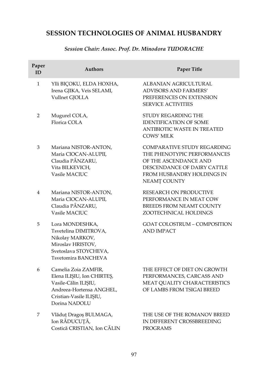## **SESSION TECHNOLOGIES OF ANIMAL HUSBANDRY**

## *Session Chair: Assoc. Prof. Dr. Minodora TUDORACHE*

| Paper<br>ID    | <b>Authors</b>                                                                                                                                     | Paper Title                                                                                                                                                             |
|----------------|----------------------------------------------------------------------------------------------------------------------------------------------------|-------------------------------------------------------------------------------------------------------------------------------------------------------------------------|
| $\mathbf{1}$   | Ylli BIÇOKU, ELDA HOXHA,<br>Irena GJIKA, Veis SELAMI,<br>Vullnet GJOLLA                                                                            | ALBANIAN AGRICULTURAL<br><b>ADVISORS AND FARMERS'</b><br>PREFERENCES ON EXTENSION<br><b>SERVICE ACTIVITIES</b>                                                          |
| $\overline{2}$ | Mugurel COLA,<br>Florica COLA                                                                                                                      | STUDY REGARDING THE<br><b>IDENTIFICATION OF SOME</b><br>ANTIBIOTIC WASTE IN TREATED<br><b>COWS' MILK</b>                                                                |
| 3              | Mariana NISTOR-ANTON,<br>Maria CIOCAN-ALUPII,<br>Claudia PÂNZARU,<br>Vita BILKEVICH,<br>Vasile MACIUC                                              | <b>COMPARATIVE STUDY REGARDING</b><br>THE PHENOTYPIC PERFORMANCES<br>OF THE ASCENDANCE AND<br>DESCENDANCE OF DAIRY CATTLE<br>FROM HUSBANDRY HOLDINGS IN<br>NEAMȚ COUNTY |
| 4              | Mariana NISTOR-ANTON,<br>Maria CIOCAN-ALUPII,<br>Claudia PÂNZARU,<br>Vasile MACIUC                                                                 | RESEARCH ON PRODUCTIVE<br>PERFORMANCE IN MEAT COW<br><b>BREEDS FROM NEAMT COUNTY</b><br>ZOOTECHNICAL HOLDINGS                                                           |
| 5              | Lora MONDESHKA,<br>Tsvetelina DIMITROVA,<br>Nikolay MARKOV,<br>Miroslav HRISTOV,<br>Svetoslava STOYCHEVA,<br>Tsvetomira BANCHEVA                   | <b>GOAT COLOSTRUM - COMPOSITION</b><br><b>AND IMPACT</b>                                                                                                                |
| 6              | Camelia Zoia ZAMFIR,<br>Elena ILIȘIU, Ion CHIRTEȘ,<br>Vasile-Călin ILIȘIU,<br>Andreea-Hortensa ANGHEL,<br>Cristian-Vasile ILIȘIU,<br>Dorina NADOLU | THE EFFECT OF DIET ON GROWTH<br>PERFORMANCES, CARCASS AND<br>MEAT QUALITY CHARACTERISTICS<br>OF LAMBS FROM TSIGAI BREED                                                 |
| 7              | Vlăduț Dragoș BULMAGA,<br>Ion RĂDUCUȚĂ,<br>Costică CRISTIAN, Ion CĂLIN                                                                             | THE USE OF THE ROMANOV BREED<br>IN DIFFERENT CROSSBREEDING<br><b>PROGRAMS</b>                                                                                           |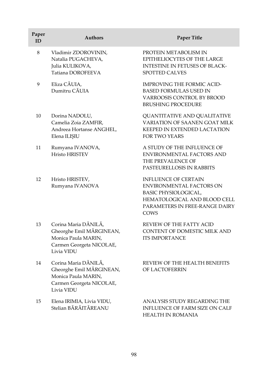| Paper<br>ID | <b>Authors</b>                                                                                                    | Paper Title                                                                                                                                                      |
|-------------|-------------------------------------------------------------------------------------------------------------------|------------------------------------------------------------------------------------------------------------------------------------------------------------------|
| 8           | Vladimir ZDOROVININ,<br>Natalia PUGACHEVA,<br>Julia KULIKOVA,<br>Tatiana DOROFEEVA                                | PROTEIN METABOLISM IN<br>EPITHELIOCYTES OF THE LARGE<br><b>INTESTINE IN FETUSES OF BLACK-</b><br>SPOTTED CALVES                                                  |
| 9           | Eliza CĂUIA,<br>Dumitru CĂUIA                                                                                     | <b>IMPROVING THE FORMIC ACID-</b><br><b>BASED FORMULAS USED IN</b><br>VARROOSIS CONTROL BY BROOD<br><b>BRUSHING PROCEDURE</b>                                    |
| 10          | Dorina NADOLU,<br>Camelia Zoia ZAMFIR,<br>Andreea Hortanse ANGHEL,<br>Elena ILIŞIU                                | QUANTITATIVE AND QUALITATIVE<br><b>VARIATION OF SAANEN GOAT MILK</b><br>KEEPED IN EXTENDED LACTATION<br><b>FOR TWO YEARS</b>                                     |
| 11          | Rumyana IVANOVA,<br><b>Hristo HRISTEV</b>                                                                         | A STUDY OF THE INFLUENCE OF<br>ENVIRONMENTAL FACTORS AND<br>THE PREVALENCE OF<br>PASTEURELLOSIS IN RABBITS                                                       |
| 12          | Hristo HRISTEV,<br>Rumyana IVANOVA                                                                                | <b>INFLUENCE OF CERTAIN</b><br><b>ENVIRONMENTAL FACTORS ON</b><br>BASIC PHYSIOLOGICAL,<br>HEMATOLOGICAL AND BLOOD CELL<br>PARAMETERS IN FREE-RANGE DAIRY<br>COWS |
| 13          | Corina Maria DĂNILĂ,<br>Gheorghe Emil MĂRGINEAN,<br>Monica Paula MARIN,<br>Carmen Georgeta NICOLAE,<br>Livia VIDU | REVIEW OF THE FATTY ACID<br>CONTENT OF DOMESTIC MILK AND<br><b>ITS IMPORTANCE</b>                                                                                |
| 14          | Corina Maria DĂNILĂ,<br>Gheorghe Emil MĂRGINEAN,<br>Monica Paula MARIN,<br>Carmen Georgeta NICOLAE,<br>Livia VIDU | REVIEW OF THE HEALTH BENEFITS<br>OF LACTOFERRIN                                                                                                                  |
| 15          | Elena IRIMIA, Livia VIDU,<br>Stelian BĂRĂITĂREANU                                                                 | ANALYSIS STUDY REGARDING THE<br><b>INFLUENCE OF FARM SIZE ON CALF</b><br><b>HEALTH IN ROMANIA</b>                                                                |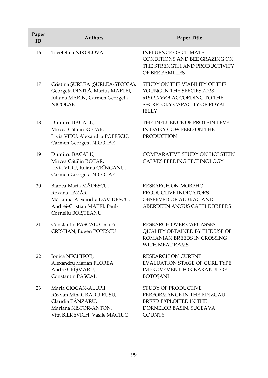| Paper<br>ID | Authors                                                                                                                        | <b>Paper Title</b>                                                                                                               |
|-------------|--------------------------------------------------------------------------------------------------------------------------------|----------------------------------------------------------------------------------------------------------------------------------|
| 16          | Tsvetelina NIKOLOVA                                                                                                            | <b>INFLUENCE OF CLIMATE</b><br>CONDITIONS AND BEE GRAZING ON<br>THE STRENGTH AND PRODUCTIVITY<br>OF BEE FAMILIES                 |
| 17          | Cristina ȘURLEA (ȘURLEA-STOICA),<br>Georgeta DINIȚĂ, Marius MAFTEI,<br>Iuliana MARIN, Carmen Georgeta<br><b>NICOLAE</b>        | STUDY ON THE VIABILITY OF THE<br>YOUNG IN THE SPECIES APIS<br>MELLIFERA ACCORDING TO THE<br>SECRETORY CAPACITY OF ROYAL<br>JELLY |
| 18          | Dumitru BACALU,<br>Mircea Cătălin ROTAR,<br>Livia VIDU, Alexandru POPESCU,<br>Carmen Georgeta NICOLAE                          | THE INFLUENCE OF PROTEIN LEVEL<br>IN DAIRY COW FEED ON THE<br><b>PRODUCTION</b>                                                  |
| 19          | Dumitru BACALU,<br>Mircea Cătălin ROTAR,<br>Livia VIDU, Iuliana CRÎNGANU,<br>Carmen Georgeta NICOLAE                           | COMPARATIVE STUDY ON HOLSTEIN<br>CALVES FEEDING TECHNOLOGY                                                                       |
| 20          | Bianca-Maria MĂDESCU,<br>Roxana LAZĂR,<br>Mădălina-Alexandra DAVIDESCU,<br>Andrei-Cristian MATEI, Paul-<br>Corneliu BOIȘTEANU  | <b>RESEARCH ON MORPHO-</b><br>PRODUCTIVE INDICATORS<br>OBSERVED OF AUBRAC AND<br>ABERDEEN ANGUS CATTLE BREEDS                    |
| 21          | Constantin PASCAL, Costică<br>CRISTIAN, Eugen POPESCU                                                                          | <b>RESEARCH OVER CARCASSES</b><br>QUALITY OBTAINED BY THE USE OF<br>ROMANIAN BREEDS IN CROSSING<br><b>WITH MEAT RAMS</b>         |
| 22          | Ionică NECHIFOR,<br>Alexandru Marian FLOREA,<br>Andre CRÎȘMARU,<br><b>Constantin PASCAL</b>                                    | <b>RESEARCH ON CURENT</b><br><b>EVALUATION STAGE OF CURL TYPE</b><br><b>IMPROVEMENT FOR KARAKUL OF</b><br><b>BOTOSANI</b>        |
| 23          | Maria CIOCAN-ALUPII,<br>Răzvan Mihail RADU-RUSU,<br>Claudia PÂNZARU,<br>Mariana NISTOR-ANTON,<br>Vita BILKEVICH, Vasile MACIUC | STUDY OF PRODUCTIVE<br>PERFORMANCE IN THE PINZGAU<br>BREED EXPLOITED IN THE<br>DORNELOR BASIN, SUCEAVA<br><b>COUNTY</b>          |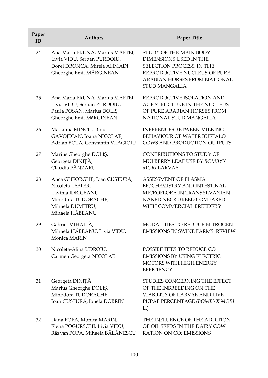| Paper<br>ID | <b>Authors</b>                                                                                                                       | Paper Title                                                                                                                                                                  |
|-------------|--------------------------------------------------------------------------------------------------------------------------------------|------------------------------------------------------------------------------------------------------------------------------------------------------------------------------|
| 24          | Ana Maria PRUNA, Marius MAFTEI,<br>Livia VIDU, Serban PURDOIU,<br>Dorel DRONCA, Mirela AHMADI,<br>Gheorghe Emil MĂRGINEAN            | STUDY OF THE MAIN BODY<br>DIMENSIONS USED IN THE<br>SELECTION PROCESS, IN THE<br>REPRODUCTIVE NUCLEUS OF PURE<br><b>ARABIAN HORSES FROM NATIONAL</b><br><b>STUD MANGALIA</b> |
| 25          | Ana Maria PRUNA, Marius MAFTEI,<br>Livia VIDU, Serban PURDOIU,<br>Paula POSAN, Marius DOLIȘ,<br>Gheorghe Emil MăRGINEAN              | REPRODUCTIVE ISOLATION AND<br>AGE STRUCTURE IN THE NUCLEUS<br>OF PURE ARABIAN HORSES FROM<br>NATIONAL STUD MANGALIA                                                          |
| 26          | Madalina MINCU, Dinu<br>GAVOJDIAN, Ioana NICOLAE,<br>Adrian BOTA, Constantin VLAGIOIU                                                | <b>INFERENCES BETWEEN MILKING</b><br>BEHAVIOUR OF WATER BUFFALO<br>COWS AND PRODUCTION OUTPUTS                                                                               |
| 27          | Marius Gheorghe DOLIŞ,<br>Georgeta DINIȚĂ,<br>Claudia PÂNZARU                                                                        | CONTRIBUTIONS TO STUDY OF<br>MULBERRY LEAF USE BY BOMBYX<br>MORI LARVAE                                                                                                      |
| 28          | Anca GHEORGHE, Ioan CUSTURĂ,<br>Nicoleta LEFTER,<br>Lavinia IDRICEANU,<br>Minodora TUDORACHE,<br>Mihaela DUMITRU,<br>Mihaela HĂBEANU | ASSESSMENT OF PLASMA<br><b>BIOCHEMISTRY AND INTESTINAL</b><br>MICROFLORA IN TRANSYLVANIAN<br>NAKED NECK BREED COMPARED<br>WITH COMMERCIAL BREEDERS'                          |
| 29          | Gabriel MIHĂILĂ,<br>Mihaela HĂBEANU, Livia VIDU,<br>Monica MARIN                                                                     | <b>MODALITIES TO REDUCE NITROGEN</b><br><b>EMISSIONS IN SWINE FARMS: REVIEW</b>                                                                                              |
| 30          | Nicoleta-Alina UDROIU,<br>Carmen Georgeta NICOLAE                                                                                    | POSSIBILITIES TO REDUCE CO2<br><b>EMISSIONS BY USING ELECTRIC</b><br><b>MOTORS WITH HIGH ENERGY</b><br><b>EFFICIENCY</b>                                                     |
| 31          | Georgeta DINIȚĂ,<br>Marius Gheorghe DOLIŞ,<br>Minodora TUDORACHE,<br>Ioan CUSTURĂ, Ionela DOBRIN                                     | STUDIES CONCERNING THE EFFECT<br>OF THE INBREEDING ON THE<br>VIABILITY OF LARVAE AND LIVE<br>PUPAE PERCENTAGE (BOMBYX MORI<br>L.)                                            |
| 32          | Dana POPA, Monica MARIN,<br>Elena POGURSCHI, Livia VIDU,<br>Răzvan POPA, Mihaela BĂLĂNESCU                                           | THE INFLUENCE OF THE ADDITION<br>OF OIL SEEDS IN THE DAIRY COW<br><b>RATION ON CO2 EMISSIONS</b>                                                                             |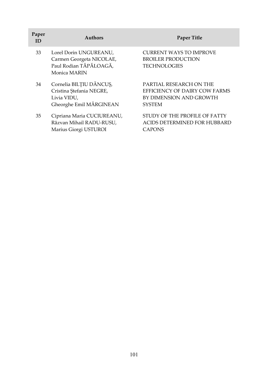| Paper<br>ID | <b>Authors</b>                                                                                | <b>Paper Title</b>                                                                                   |
|-------------|-----------------------------------------------------------------------------------------------|------------------------------------------------------------------------------------------------------|
| 33          | Lorel Dorin UNGUREANU,<br>Carmen Georgeta NICOLAE,<br>Paul Rodian TĂPĂLOAGĂ,<br>Monica MARIN  | <b>CURRENT WAYS TO IMPROVE</b><br><b>BROILER PRODUCTION</b><br><b>TECHNOLOGIES</b>                   |
| 34          | Cornelia BILȚIU DĂNCUȘ,<br>Cristina Ștefania NEGRE,<br>Livia VIDU,<br>Gheorghe Emil MĂRGINEAN | PARTIAL RESEARCH ON THE<br>EFFICIENCY OF DAIRY COW FARMS<br>BY DIMENSION AND GROWTH<br><b>SYSTEM</b> |
| 35          | Cipriana Maria CUCIUREANU,<br>Răzvan Mihail RADU-RUSU,<br>Marius Giorgi USTUROI               | STUDY OF THE PROFILE OF FATTY<br><b>ACIDS DETERMINED FOR HUBBARD</b><br><b>CAPONS</b>                |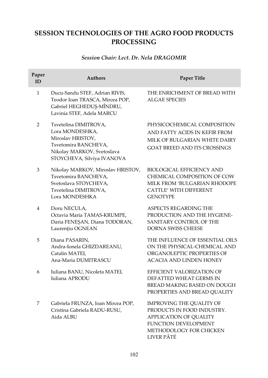# **SESSION TECHNOLOGIES OF THE AGRO FOOD PRODUCTS PROCESSING**

## *Session Chair: Lect. Dr. Nela DRAGOMIR*

| Paper<br>ID    | <b>Authors</b>                                                                                                                                    | Paper Title                                                                                                                                                     |
|----------------|---------------------------------------------------------------------------------------------------------------------------------------------------|-----------------------------------------------------------------------------------------------------------------------------------------------------------------|
| $\mathbf{1}$   | Ducu-Sandu STEF, Adrian RIVIS,<br>Teodor Ioan TRASCA, Mircea POP,<br>Gabriel HEGHEDUŞ-MÎNDRU,<br>Lavinia STEF, Adela MARCU                        | THE ENRICHMENT OF BREAD WITH<br><b>ALGAE SPECIES</b>                                                                                                            |
| 2              | Tsvetelina DIMITROVA,<br>Lora MONDESHKA,<br>Miroslav HRISTOV,<br>Tsvetomira BANCHEVA,<br>Nikolay MARKOV, Svetoslava<br>STOYCHEVA, Silviya IVANOVA | PHYSICOCHEMICAL COMPOSITION<br>AND FATTY ACIDS IN KEFIR FROM<br>MILK OF BULGARIAN WHITE DAIRY<br><b>GOAT BREED AND ITS CROSSINGS</b>                            |
| 3              | Nikolay MARKOV, Miroslav HRISTOV,<br>Tsvetomira BANCHEVA,<br>Svetoslava STOYCHEVA,<br>Tsvetelina DIMITROVA,<br>Lora MONDESHKA                     | BIOLOGICAL EFFICIENCY AND<br>CHEMICAL COMPOSITION OF COW<br>MILK FROM 'BULGARIAN RHODOPE<br><b>CATTLE' WITH DIFFERENT</b><br><b>GENOTYPE</b>                    |
| $\overline{4}$ | Doru NECULA,<br>Octavia Maria TAMAS-KRUMPE,<br>Daria FENEȘAN, Diana TODORAN,<br>Laurențiu OGNEAN                                                  | ASPECTS REGARDING THE<br>PRODUCTION AND THE HYGIENE-<br>SANITARY CONTROL OF THE<br>DORNA SWISS CHEESE                                                           |
| 5              | Diana PASARIN,<br>Andra-Ionela GHIZDAREANU,<br>Catalin MATEI,<br>Ana-Maria DUMITRASCU                                                             | THE INFLUENCE OF ESSENTIAL OILS<br>ON THE PHYSICAL-CHEMICAL AND<br>ORGANOLEPTIC PROPERTIES OF<br><b>ACACIA AND LINDEN HONEY</b>                                 |
| 6              | Iuliana BANU, Nicoleta MATEI,<br>Iuliana APRODU                                                                                                   | EFFICIENT VALORIZATION OF<br>DEFATTED WHEAT GERMS IN<br>BREAD MAKING BASED ON DOUGH<br>PROPERTIES AND BREAD QUALITY                                             |
| 7              | Gabriela FRUNZA, Ioan Mircea POP,<br>Cristina Gabriela RADU-RUSU,<br>Aida ALBU                                                                    | <b>IMPROVING THE QUALITY OF</b><br>PRODUCTS IN FOOD INDUSTRY.<br><b>APPLICATION OF QUALITY</b><br>FUNCTION DEVELOPMENT<br>METHODOLOGY FOR CHICKEN<br>LIVER PÂTÉ |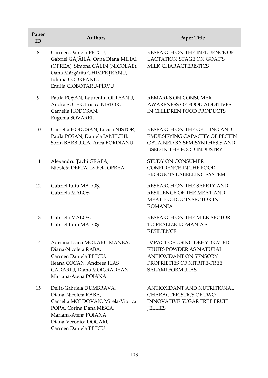| Paper<br>ID | <b>Authors</b>                                                                                                                                                                              | Paper Title                                                                                                                                      |
|-------------|---------------------------------------------------------------------------------------------------------------------------------------------------------------------------------------------|--------------------------------------------------------------------------------------------------------------------------------------------------|
| $\,8\,$     | Carmen Daniela PETCU,<br>Gabriel GÂJÂILĂ, Oana Diana MIHAI<br>(OPREA), Simona CĂLIN (NICOLAE),<br>Oana Mărgărita GHIMPEȚEANU,<br>Iuliana CODREANU,<br>Emilia CIOBOTARU-PÎRVU                | RESEARCH ON THE INFLUENCE OF<br>LACTATION STAGE ON GOAT'S<br>MILK CHARACTERISTICS                                                                |
| 9           | Paula POŞAN, Laurentiu OLTEANU,<br>Andra ŞULER, Lucica NISTOR,<br>Camelia HODOSAN,<br>Eugenia SOVAREL                                                                                       | <b>REMARKS ON CONSUMER</b><br><b>AWARENESS OF FOOD ADDITIVES</b><br>IN CHILDREN FOOD PRODUCTS                                                    |
| 10          | Camelia HODOSAN, Lucica NISTOR,<br>Paula POSAN, Daniela IANITCHI,<br>Sorin BARBUICA, Anca BORDIANU                                                                                          | RESEARCH ON THE GELLING AND<br><b>EMULSIFYING CAPACITY OF PECTIN</b><br>OBTAINED BY SEMISYNTHESIS AND<br>USED IN THE FOOD INDUSTRY               |
| 11          | Alexandru Țachi GRAPĂ,<br>Nicoleta DEFTA, Izabela OPREA                                                                                                                                     | STUDY ON CONSUMER<br>CONFIDENCE IN THE FOOD<br>PRODUCTS LABELLING SYSTEM                                                                         |
| 12          | Gabriel Iuliu MALOȘ,<br>Gabriela MALOȘ                                                                                                                                                      | RESEARCH ON THE SAFETY AND<br>RESILIENCE OF THE MEAT AND<br>MEAT PRODUCTS SECTOR IN<br><b>ROMANIA</b>                                            |
| 13          | Gabriela MALOȘ,<br>Gabriel Iuliu MALOȘ                                                                                                                                                      | RESEARCH ON THE MILK SECTOR<br><b>TO REALIZE ROMANIA'S</b><br><b>RESILIENCE</b>                                                                  |
| 14          | Adriana-Ioana MORARU MANEA,<br>Diana-Nicoleta RABA,<br>Carmen Daniela PETCU,<br>Ileana COCAN, Andreea ILAS<br>CADARIU, Diana MOIGRADEAN,<br>Mariana-Atena POIANA                            | <b>IMPACT OF USING DEHYDRATED</b><br>FRUITS POWDER AS NATURAL<br>ANTIOXIDANT ON SENSORY<br>PROPRIETIES OF NITRITE-FREE<br><b>SALAMI FORMULAS</b> |
| 15          | Delia-Gabriela DUMBRAVA,<br>Diana-Nicoleta RABA,<br>Camelia MOLDOVAN, Mirela-Viorica<br>POPA, Corina Dana MISCA,<br>Mariana-Atena POIANA,<br>Diana-Veronica DOGARU,<br>Carmen Daniela PETCU | ANTIOXIDANT AND NUTRITIONAL<br><b>CHARACTERISTICS OF TWO</b><br>INNOVATIVE SUGAR FREE FRUIT<br><b>JELLIES</b>                                    |

I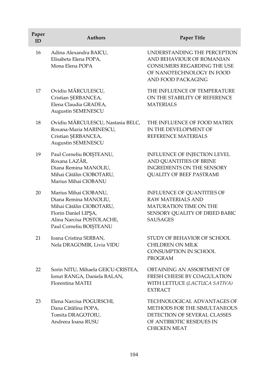| Paper<br>ID | <b>Authors</b>                                                                                                                                             | Paper Title                                                                                                                                        |
|-------------|------------------------------------------------------------------------------------------------------------------------------------------------------------|----------------------------------------------------------------------------------------------------------------------------------------------------|
| 16          | Adina Alexandra BAICU,<br>Elisabeta Elena POPA,<br>Mona Elena POPA                                                                                         | UNDERSTANDING THE PERCEPTION<br>AND BEHAVIOUR OF ROMANIAN<br><b>CONSUMERS REGARDING THE USE</b><br>OF NANOTECHNOLOGY IN FOOD<br>AND FOOD PACKAGING |
| 17          | Ovidiu MĂRCULESCU,<br>Cristian ŞERBANCEA,<br>Elena Claudia GRADEA,<br>Augustin SEMENESCU                                                                   | THE INFLUENCE OF TEMPERATURE<br>ON THE STABILITY OF REFERENCE<br><b>MATERIALS</b>                                                                  |
| 18          | Ovidiu MĂRCULESCU, Nastasia BELC,<br>Roxana-Maria MARINESCU,<br>Cristian ŞERBANCEA,<br>Augustin SEMENESCU                                                  | THE INFLUENCE OF FOOD MATRIX<br>IN THE DEVELOPMENT OF<br>REFERENCE MATERIALS                                                                       |
| 19          | Paul Corneliu BOIȘTEANU,<br>Roxana LAZĂR,<br>Diana Remina MANOLIU,<br>Mihai Cătălin CIOBOTARU,<br>Marius Mihai CIOBANU                                     | INFLUENCE OF INJECTION LEVEL<br>AND QUANTITIES OF BRINE<br><b>INGREDIENTS ON THE SENSORY</b><br>QUALITY OF BEEF PASTRAMI                           |
| 20          | Marius Mihai CIOBANU,<br>Diana Remina MANOLIU,<br>Mihai Cătălin CIOBOTARU,<br>Florin Daniel LIPŞA,<br>Alina Narcisa POSTOLACHE,<br>Paul Corneliu BOIȘTEANU | <b>INFLUENCE OF QUANTITIES OF</b><br><b>RAW MATERIALS AND</b><br>MATURATION TIME ON THE<br>SENSORY QUALITY OF DRIED BABIC<br><b>SAUSAGES</b>       |
| 21          | Ioana Cristina SERBAN,<br>Nela DRAGOMIR, Livia VIDU                                                                                                        | STUDY OF BEHAVIOR OF SCHOOL<br><b>CHILDREN ON MILK</b><br>CONSUMPTION IN SCHOOL<br><b>PROGRAM</b>                                                  |
| 22          | Sorin NITU, Mihaela GEICU-CRISTEA,<br>Ionut RANGA, Daniela BALAN,<br>Florentina MATEI                                                                      | OBTAINING AN ASSORTMENT OF<br>FRESH CHEESE BY COAGULATION<br>WITH LETTUCE (LACTUCA SATIVA)<br><b>EXTRACT</b>                                       |
| 23          | Elena Narcisa POGURSCHI,<br>Dana Cătălina POPA,<br>Tomita DRAGOTOIU,<br>Andreea Ioana RUSU                                                                 | <b>TECHNOLOGICAL ADVANTAGES OF</b><br>METHODS FOR THE SIMULTANEOUS<br>DETECTION OF SEVERAL CLASSES<br>OF ANTIBIOTIC RESIDUES IN<br>CHICKEN MEAT    |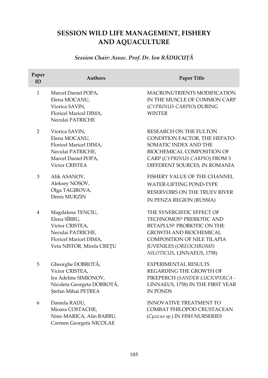# **SESSION WILD LIFE MANAGEMENT, FISHERY AND AQUACULTURE**

# *Session Chair: Assoc. Prof. Dr. Ion RĂDUCUŢĂ*

| Paper<br>ID  | <b>Authors</b>                                                                                                                   | <b>Paper Title</b>                                                                                                                                                                                                 |
|--------------|----------------------------------------------------------------------------------------------------------------------------------|--------------------------------------------------------------------------------------------------------------------------------------------------------------------------------------------------------------------|
| $\mathbf{1}$ | Marcel Daniel POPA,<br>Elena MOCANU,<br>Viorica SAVIN,<br>Floricel Maricel DIMA,<br>Neculai PATRICHE                             | <b>MACRONUTRIENTS MODIFICATION</b><br>IN THE MUSCLE OF COMMON CARP<br>(CYPRINUS CARPIO) DURING<br><b>WINTER</b>                                                                                                    |
| 2            | Viorica SAVIN,<br>Elena MOCANU,<br>Floricel Maricel DIMA,<br>Neculai PATRICHE,<br>Marcel Daniel POPA,<br>Victor CRISTEA          | RESEARCH ON THE FULTON<br>CONDITION FACTOR, THE HEPATO-<br>SOMATIC INDEX AND THE<br>BIOCHEMICAL COMPOSITION OF<br>CARP (CYPRINUS CARPIO) FROM 3<br>DIFFERENT SOURCES, IN ROMANIA                                   |
| 3            | Alik ASANOV,<br>Aleksey NOSOV,<br>Olga TAGIROVA,<br>Denis MURZIN                                                                 | FISHERY VALUE OF THE CHANNEL<br><b>WATER-LIFTING POND-TYPE</b><br>RESERVOIRS ON THE TRUEV RIVER<br>IN PENZA REGION (RUSSIA)                                                                                        |
| 4            | Magdalena TENCIU,<br>Elena SÎRBU,<br>Victor CRISTEA,<br>Neculai PATRICHE,<br>Floricel Maricel DIMA,<br>Veta NISTOR, Mirela CREȚU | THE SYNERGISTIC EFFECT OF<br>TECHNOMOS® PREBIOTIC AND<br>BETAPLUS® PROBIOTIC ON THE<br><b>GROWTH AND BIOCHEMICAL</b><br><b>COMPOSITION OF NILE TILAPIA</b><br>JUVENILES (OREOCHROMIS<br>NILOTICUS, LINNAEUS, 1758) |
| 5            | Gheorghe DOBROTĂ,<br>Victor CRISTEA,<br>Ira Adeline SIMIONOV,<br>Nicoleta Georgeta DOBROTĂ,<br>Ştefan Mihai PETREA               | <b>EXPERIMENTAL RESULTS</b><br>REGARDING THE GROWTH OF<br>PIKEPERCH (SANDER LUCIOPERCA -<br>LINNAEUS, 1758) IN THE FIRST YEAR<br><b>IN PONDS</b>                                                                   |
| 6            | Daniela RADU,<br>Mioara COSTACHE,<br>Nino MARICA, Alin BARBU,<br>Carmen Georgeta NICOLAE                                         | <b>INNOVATIVE TREATMENT TO</b><br>COMBAT PHILOPOD CRUSTACEAN<br>(Cyzicus sp.) IN FISH NURSERIES                                                                                                                    |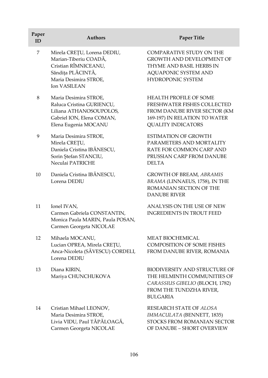| Paper<br>ID | <b>Authors</b>                                                                                                                             | Paper Title                                                                                                                                                |
|-------------|--------------------------------------------------------------------------------------------------------------------------------------------|------------------------------------------------------------------------------------------------------------------------------------------------------------|
| 7           | Mirela CREȚU, Lorena DEDIU,<br>Marian-Tiberiu COADĂ,<br>Cristian RÎMNICEANU,<br>Săndița PLĂCINTĂ,<br>Maria Desimira STROE,<br>Ion VASILEAN | <b>COMPARATIVE STUDY ON THE</b><br><b>GROWTH AND DEVELOPMENT OF</b><br>THYME AND BASIL HERBS IN<br>AQUAPONIC SYSTEM AND<br>HYDROPONIC SYSTEM               |
| 8           | Maria Desimira STROE,<br>Raluca Cristina GURIENCU,<br>Liliana ATHANOSOUPOLOS,<br>Gabriel ION, Elena COMAN,<br>Elena Eugenia MOCANU         | <b>HEALTH PROFILE OF SOME</b><br>FRESHWATER FISHES COLLECTED<br>FROM DANUBE RIVER SECTOR (KM<br>169-197) IN RELATION TO WATER<br><b>QUALITY INDICATORS</b> |
| 9           | Maria Desimira STROE,<br>Mirela CREȚU,<br>Daniela Cristina IBĂNESCU,<br>Sorin Ștefan STANCIU,<br>Neculai PATRICHE                          | <b>ESTIMATION OF GROWTH</b><br>PARAMETERS AND MORTALITY<br>RATE FOR COMMON CARP AND<br>PRUSSIAN CARP FROM DANUBE<br><b>DELTA</b>                           |
| 10          | Daniela Cristina IBĂNESCU,<br>Lorena DEDIU                                                                                                 | GROWTH OF BREAM, ABRAMIS<br>BRAMA (LINNAEUS, 1758), IN THE<br>ROMANIAN SECTION OF THE<br><b>DANUBE RIVER</b>                                               |
| 11          | Ionel IVAN,<br>Carmen Gabriela CONSTANTIN,<br>Monica Paula MARIN, Paula POSAN,<br>Carmen Georgeta NICOLAE                                  | ANALYSIS ON THE USE OF NEW<br><b>INGREDIENTS IN TROUT FEED</b>                                                                                             |
| 12          | Mihaela MOCANU,<br>Lucian OPREA, Mirela CREȚU,<br>Anca-Nicoleta (SĂVESCU) CORDELI,<br>Lorena DEDIU                                         | <b>MEAT BIOCHEMICAL</b><br><b>COMPOSITION OF SOME FISHES</b><br>FROM DANUBE RIVER, ROMANIA                                                                 |
| 13          | Diana KIRIN,<br>Mariya CHUNCHUKOVA                                                                                                         | BIODIVERSITY AND STRUCTURE OF<br>THE HELMINTH COMMUNITIES OF<br>CARASSIUS GIBELIO (BLOCH, 1782)<br>FROM THE TUNDZHA RIVER,<br><b>BULGARIA</b>              |
| 14          | Cristian Mihael LEONOV,<br>Maria Desimira STROE,<br>Livia VIDU, Paul TĂPĂLOAGĂ,<br>Carmen Georgeta NICOLAE                                 | RESEARCH STATE OF ALOSA<br>IMMACULATA (BENNETT, 1835)<br>STOCKS FROM ROMANIAN SECTOR<br>OF DANUBE - SHORT OVERVIEW                                         |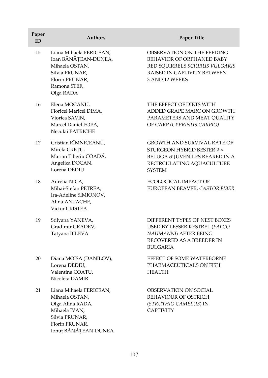| Paper<br>ID | <b>Authors</b>                                                                                                                             | <b>Paper Title</b>                                                                                                                               |
|-------------|--------------------------------------------------------------------------------------------------------------------------------------------|--------------------------------------------------------------------------------------------------------------------------------------------------|
| 15          | Liana Mihaela FERICEAN,<br>Ioan BĂNĂȚEAN-DUNEA,<br>Mihaela OSTAN,<br>Silvia PRUNAR,<br>Florin PRUNAR,<br>Ramona STEF,<br>Olga RADA         | OBSERVATION ON THE FEEDING<br>BEHAVIOR OF ORPHANED BABY<br>RED SQUIRRELS SCIURUS VULGARIS<br>RAISED IN CAPTIVITY BETWEEN<br>3 AND 12 WEEKS       |
| 16          | Elena MOCANU,<br>Floricel Maricel DIMA,<br>Viorica SAVIN,<br>Marcel Daniel POPA,<br>Neculai PATRICHE                                       | THE EFFECT OF DIETS WITH<br>ADDED GRAPE MARC ON GROWTH<br>PARAMETERS AND MEAT QUALITY<br>OF CARP (CYPRINUS CARPIO)                               |
| 17          | Cristian RÎMNICEANU,<br>Mirela CREȚU,<br>Marian Tiberiu COADĂ,<br>Angelica DOCAN,<br>Lorena DEDIU                                          | <b>GROWTH AND SURVIVAL RATE OF</b><br>STURGEON HYBRID BESTER 9 ×<br>BELUGA & JUVENILES REARED IN A<br>RECIRCULATING AQUACULTURE<br><b>SYSTEM</b> |
| 18          | Aurelia NICA,<br>Mihai-Stefan PETREA,<br>Ira-Adeline SIMIONOV,<br>Alina ANTACHE,<br><b>Victor CRISTEA</b>                                  | ECOLOGICAL IMPACT OF<br>EUROPEAN BEAVER, CASTOR FIBER                                                                                            |
| 19          | Stilyana YANEVA,<br>Gradimir GRADEV,<br>Tatyana BILEVA                                                                                     | DIFFERENT TYPES OF NEST BOXES<br>USED BY LESSER KESTREL (FALCO<br>NAUMANNI) AFTER BEING<br>RECOVERED AS A BREEDER IN<br><b>BULGARIA</b>          |
| 20          | Diana MOISA (DANILOV),<br>Lorena DEDIU,<br>Valentina COATU,<br>Nicoleta DAMIR                                                              | EFFECT OF SOME WATERBORNE<br>PHARMACEUTICALS ON FISH<br><b>HEALTH</b>                                                                            |
| 21          | Liana Mihaela FERICEAN,<br>Mihaela OSTAN,<br>Olga Alina RADA,<br>Mihaela IVAN,<br>Silvia PRUNAR,<br>Florin PRUNAR,<br>Ionuț BĂNĂȚEAN-DUNEA | OBSERVATION ON SOCIAL<br>BEHAVIOUR OF OSTRICH<br>(STRUTHIO CAMELUS) IN<br><b>CAPTIVITY</b>                                                       |